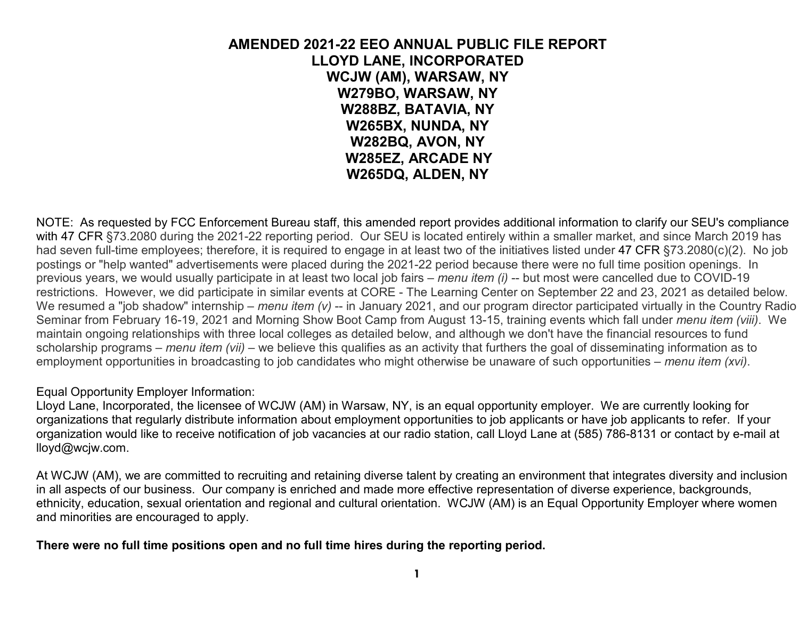### **AMENDED 2021-22 EEO ANNUAL PUBLIC FILE REPORT LLOYD LANE, INCORPORATED WCJW (AM), WARSAW, NY W279BO, WARSAW, NY W288BZ, BATAVIA, NY W265BX, NUNDA, NY W282BQ, AVON, NY W285EZ, ARCADE NY W265DQ, ALDEN, NY**

NOTE: As requested by FCC Enforcement Bureau staff, this amended report provides additional information to clarify our SEU's compliance with 47 CFR §73.2080 during the 2021-22 reporting period. Our SEU is located entirely within a smaller market, and since March 2019 has had seven full-time employees; therefore, it is required to engage in at least two of the initiatives listed under 47 CFR §73.2080(c)(2). No job postings or "help wanted" advertisements were placed during the 2021-22 period because there were no full time position openings. In previous years, we would usually participate in at least two local job fairs – *menu item (i)* -- but most were cancelled due to COVID-19 restrictions. However, we did participate in similar events at CORE - The Learning Center on September 22 and 23, 2021 as detailed below. We resumed a "job shadow" internship – *menu item (v)* -- in January 2021, and our program director participated virtually in the Country Radio Seminar from February 16-19, 2021 and Morning Show Boot Camp from August 13-15, training events which fall under *menu item (viii)*. We maintain ongoing relationships with three local colleges as detailed below, and although we don't have the financial resources to fund scholarship programs – *menu item (vii)* – we believe this qualifies as an activity that furthers the goal of disseminating information as to employment opportunities in broadcasting to job candidates who might otherwise be unaware of such opportunities – *menu item (xvi)*.

#### Equal Opportunity Employer Information:

 Lloyd Lane, Incorporated, the licensee of WCJW (AM) in Warsaw, NY, is an equal opportunity employer. We are currently looking for organizations that regularly distribute information about employment opportunities to job applicants or have job applicants to refer. If your organization would like to receive notification of job vacancies at our radio station, call Lloyd Lane at (585) 786-8131 or contact by e-mail at lloyd@wcjw.com.

At WCJW (AM), we are committed to recruiting and retaining diverse talent by creating an environment that integrates diversity and inclusion in all aspects of our business. Our company is enriched and made more effective representation of diverse experience, backgrounds, ethnicity, education, sexual orientation and regional and cultural orientation. WCJW (AM) is an Equal Opportunity Employer where women and minorities are encouraged to apply.

#### **There were no full time positions open and no full time hires during the reporting period.**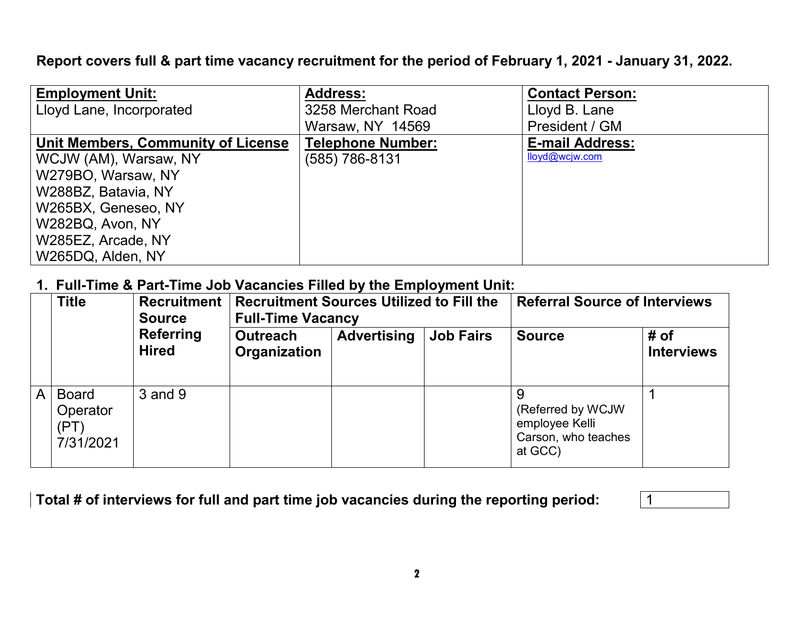**Report covers full & part time vacancy recruitment for the period of February 1, 2021 - January 31, 2022.** 

| <b>Employment Unit:</b>            | <b>Address:</b>          | <b>Contact Person:</b> |
|------------------------------------|--------------------------|------------------------|
| Lloyd Lane, Incorporated           | 3258 Merchant Road       | Lloyd B. Lane          |
|                                    | Warsaw, NY 14569         | President / GM         |
| Unit Members, Community of License | <b>Telephone Number:</b> | <b>E-mail Address:</b> |
| WCJW (AM), Warsaw, NY              | (585) 786-8131           | lloyd@wcjw.com         |
| W279BO, Warsaw, NY                 |                          |                        |
| W288BZ, Batavia, NY                |                          |                        |
| W265BX, Geneseo, NY                |                          |                        |
| W282BQ, Avon, NY                   |                          |                        |
| W285EZ, Arcade, NY                 |                          |                        |
| W265DQ, Alden, NY                  |                          |                        |

# **1. Full-Time & Part-Time Job Vacancies Filled by the Employment Unit:**

|   | <b>Title</b>                                  | <b>Source</b>                    | Recruitment   Recruitment Sources Utilized to Fill the<br><b>Full-Time Vacancy</b> |                    |                  | <b>Referral Source of Interviews</b>                                  |                           |
|---|-----------------------------------------------|----------------------------------|------------------------------------------------------------------------------------|--------------------|------------------|-----------------------------------------------------------------------|---------------------------|
|   |                                               | <b>Referring</b><br><b>Hired</b> | <b>Outreach</b><br>Organization                                                    | <b>Advertising</b> | <b>Job Fairs</b> | <b>Source</b>                                                         | # of<br><b>Interviews</b> |
| A | <b>Board</b><br>Operator<br>(PT)<br>7/31/2021 | 3 and 9                          |                                                                                    |                    |                  | (Referred by WCJW<br>employee Kelli<br>Carson, who teaches<br>at GCC) |                           |

| Total # of interviews for full and part time job vacancies during the reporting period: |  |
|-----------------------------------------------------------------------------------------|--|
|-----------------------------------------------------------------------------------------|--|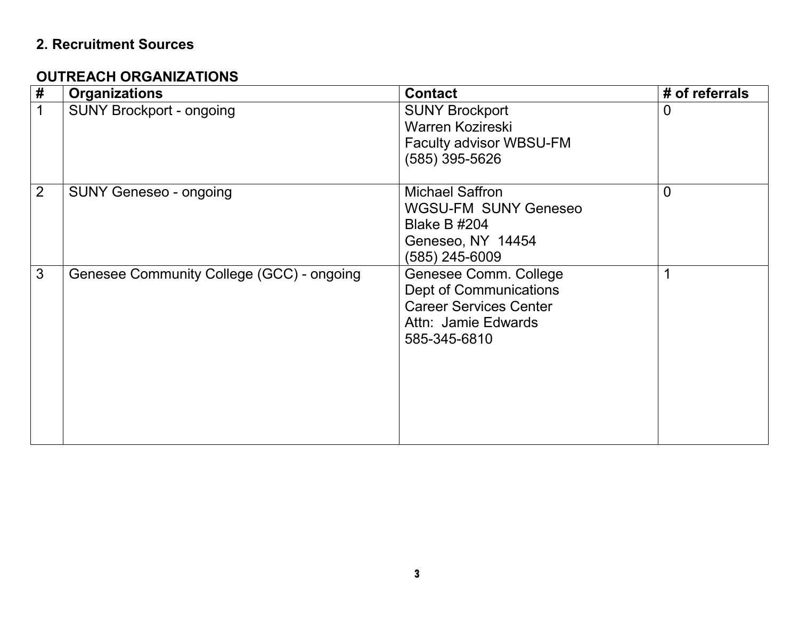# **2. Recruitment Sources**

### **OUTREACH ORGANIZATIONS**

| $\pmb{\#}$     | <b>Organizations</b>                      | <b>Contact</b>                                                                                                                 | # of referrals |
|----------------|-------------------------------------------|--------------------------------------------------------------------------------------------------------------------------------|----------------|
| 1              | <b>SUNY Brockport - ongoing</b>           | <b>SUNY Brockport</b><br>Warren Kozireski<br>Faculty advisor WBSU-FM<br>(585) 395-5626                                         | 0              |
| $\overline{2}$ | <b>SUNY Geneseo - ongoing</b>             | <b>Michael Saffron</b><br><b>WGSU-FM SUNY Geneseo</b><br><b>Blake B #204</b><br>Geneseo, NY 14454<br>(585) 245-6009            | $\overline{0}$ |
| 3              | Genesee Community College (GCC) - ongoing | Genesee Comm. College<br><b>Dept of Communications</b><br><b>Career Services Center</b><br>Attn: Jamie Edwards<br>585-345-6810 | 1              |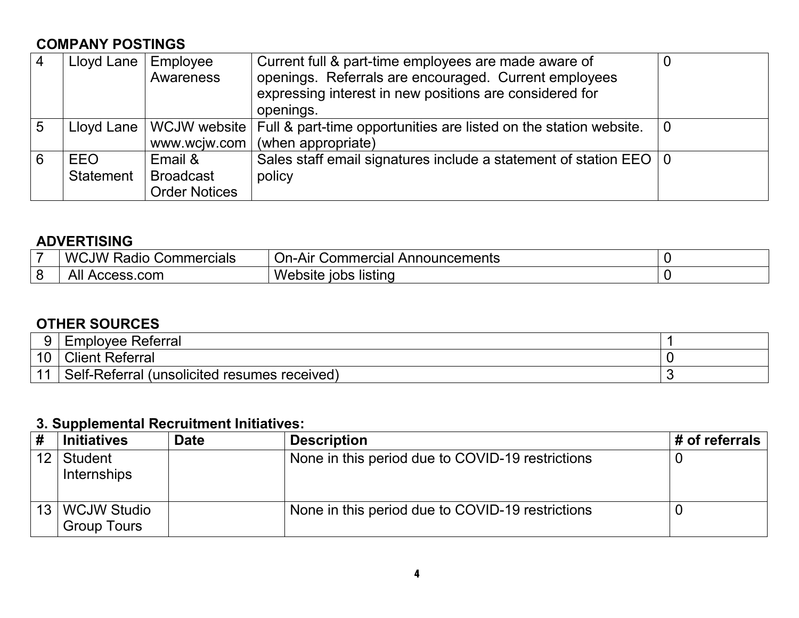# **COMPANY POSTINGS**

| $\overline{4}$ | Lloyd Lane | Employee<br>Awareness | Current full & part-time employees are made aware of<br>openings. Referrals are encouraged. Current employees<br>expressing interest in new positions are considered for<br>openings. |          |
|----------------|------------|-----------------------|---------------------------------------------------------------------------------------------------------------------------------------------------------------------------------------|----------|
| 5              | Lloyd Lane | www.wcjw.com          | WCJW website   Full & part-time opportunities are listed on the station website.<br>(when appropriate)                                                                                | $\bm{0}$ |
| 6              | <b>EEO</b> | Email &               | Sales staff email signatures include a statement of station EEO   0                                                                                                                   |          |
|                |            |                       |                                                                                                                                                                                       |          |
|                | Statement  | <b>Broadcast</b>      | policy                                                                                                                                                                                |          |
|                |            | <b>Order Notices</b>  |                                                                                                                                                                                       |          |

# **ADVERTISING**

| $\overline{\phantom{a}}$ | WC<br>. ∨Wٽ<br>Commercials<br>≺adıc | l Announcements<br>$\sim$ mercial $\sim$<br>Alr<br><b>Commerc</b><br>ノロー |  |
|--------------------------|-------------------------------------|--------------------------------------------------------------------------|--|
| 8                        | All<br>.com<br>ים ב<br>¬v           | W.<br><b>bsite</b><br>listing<br><b>'ODS</b><br>v                        |  |

### **OTHER SOURCES**

|    | Referral<br>Employee                                   |   |
|----|--------------------------------------------------------|---|
| 10 | <b>Client Referral</b>                                 |   |
|    | Self-Referral<br>(unsolicited)<br>received)<br>resumes | ັ |

# **3. Supplemental Recruitment Initiatives:**

| #  | <b>Initiatives</b>                     | <b>Date</b> | <b>Description</b>                               | # of referrals |
|----|----------------------------------------|-------------|--------------------------------------------------|----------------|
| 12 | Student<br>Internships                 |             | None in this period due to COVID-19 restrictions |                |
|    | 13   WCJW Studio<br><b>Group Tours</b> |             | None in this period due to COVID-19 restrictions |                |